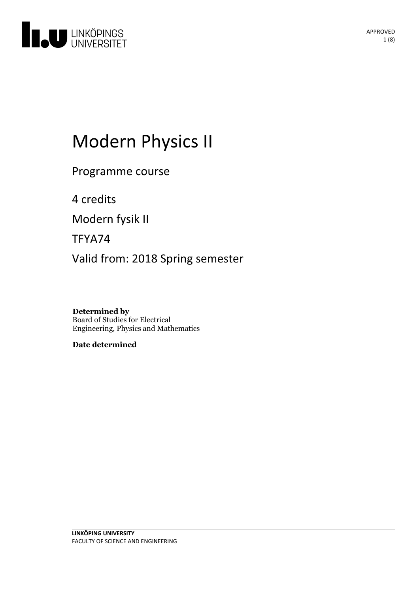

# Modern Physics II

Programme course

4 credits

Modern fysik II

TFYA74

Valid from: 2018 Spring semester

**Determined by** Board of Studies for Electrical Engineering, Physics and Mathematics

**Date determined**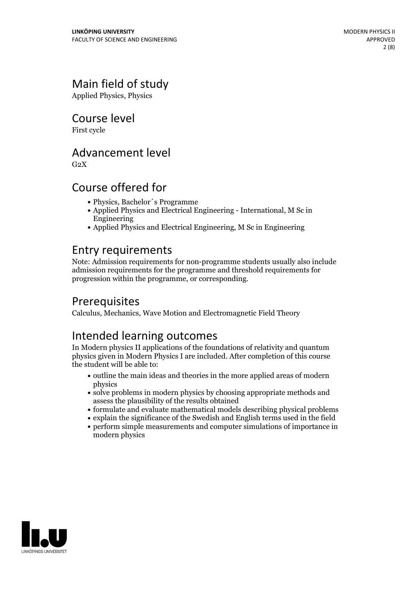### Main field of study

Applied Physics, Physics

Course level

First cycle

### Advancement level

 $G<sub>2</sub>X$ 

### Course offered for

- Physics, Bachelor´s Programme
- Applied Physics and Electrical Engineering International, M Sc in Engineering
- Applied Physics and Electrical Engineering, M Sc in Engineering

### Entry requirements

Note: Admission requirements for non-programme students usually also include admission requirements for the programme and threshold requirements for progression within the programme, or corresponding.

### Prerequisites

Calculus, Mechanics, Wave Motion and Electromagnetic Field Theory

### Intended learning outcomes

In Modern physics II applications of the foundations of relativity and quantum physics given in Modern Physics I are included. After completion of this course the student will be able to:

- outline the main ideas and theories in the more applied areas of modern physics
- solve problems in modern physics by choosing appropriate methods and assess the plausibility of the results obtained
- formulate and evaluate mathematical models describing physical problems
- explain the significance of the Swedish and English terms used in the field
- perform simple measurements and computer simulations of importance in modern physics

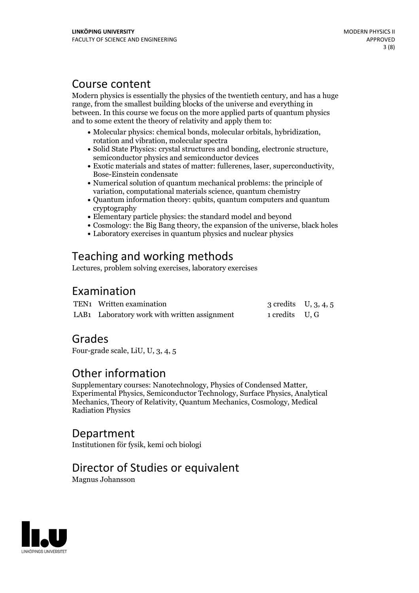### Course content

Modern physics is essentially the physics of the twentieth century, and has a huge range, from the smallest building blocks of the universe and everything in between. In this course we focus on the more applied parts of quantum physics and to some extent the theory of relativity and apply them to:

- Molecular physics: chemical bonds, molecular orbitals, hybridization, rotation and vibration, molecular spectra
- Solid State Physics: crystal structures and bonding, electronic structure, semiconductor physics and semiconductor devices
- Exotic materials and states of matter: fullerenes, laser, superconductivity, Bose-Einstein condensate
- Numerical solution of quantum mechanical problems: the principle of variation, computational materials science, quantum chemistry
- Ouantum information theory: qubits, quantum computers and quantum cryptography
- Elementary particle physics: the standard model and beyond
- Cosmology: the Big Bang theory, the expansion of the universe, black holes
- Laboratory exercises in quantum physics and nuclear physics

### Teaching and working methods

Lectures, problem solving exercises, laboratory exercises

### Examination

| TEN1 Written examination                     | 3 credits $U, 3, 4, 5$ |  |
|----------------------------------------------|------------------------|--|
| LAB1 Laboratory work with written assignment | 1 credits U, G         |  |

### Grades

Four-grade scale, LiU, U, 3, 4, 5

**Other information**<br>Supplementary courses: Nanotechnology, Physics of Condensed Matter, Experimental Physics, Semiconductor Technology, Surface Physics, Analytical Mechanics, Theory of Relativity, Quantum Mechanics, Cosmology, Medical Radiation Physics

### Department

Institutionen för fysik, kemi och biologi

### Director of Studies or equivalent

Magnus Johansson

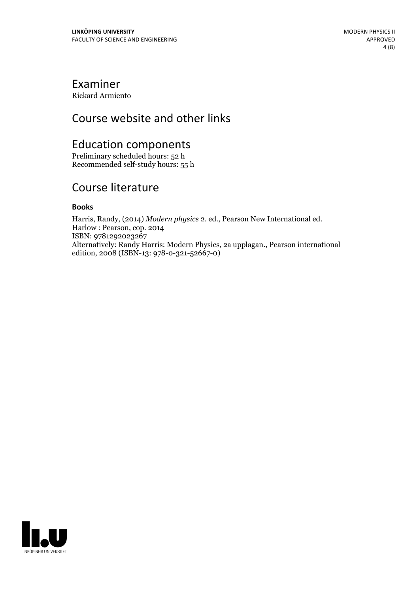### Examiner

Rickard Armiento

### Course website and other links

## Education components

Preliminary scheduled hours: 52 h Recommended self-study hours: 55 h

### Course literature

#### **Books**

Harris, Randy, (2014) *Modern physics* 2. ed., Pearson New International ed. Harlow : Pearson, cop. <sup>2014</sup> ISBN: 9781292023267 Alternatively: Randy Harris: Modern Physics, 2a upplagan., Pearson international edition, 2008 (ISBN-13: 978-0-321-52667-0)

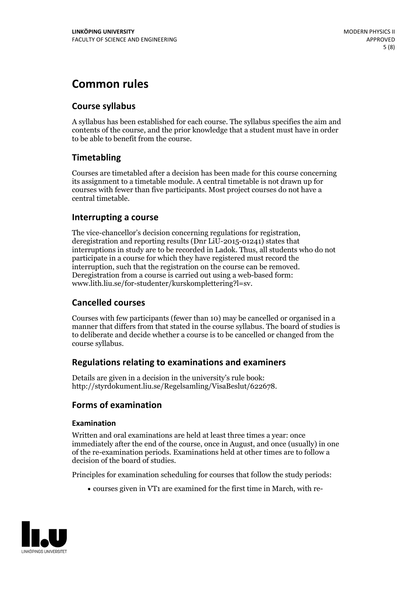### **Common rules**

#### **Course syllabus**

A syllabus has been established for each course. The syllabus specifies the aim and contents of the course, and the prior knowledge that a student must have in order to be able to benefit from the course.

### **Timetabling**

Courses are timetabled after a decision has been made for this course concerning its assignment to a timetable module. A central timetable is not drawn up for courses with fewer than five participants. Most project courses do not have a central timetable.

#### **Interrupting a course**

The vice-chancellor's decision concerning regulations for registration, deregistration and reporting results (Dnr LiU-2015-01241) states that interruptions in study are to be recorded in Ladok. Thus, all students who do not participate in a course for which they have registered must record the interruption, such that the registration on the course can be removed. Deregistration from <sup>a</sup> course is carried outusing <sup>a</sup> web-based form: www.lith.liu.se/for-studenter/kurskomplettering?l=sv.

#### **Cancelled courses**

Courses with few participants (fewer than 10) may be cancelled or organised in a manner that differs from that stated in the course syllabus. The board of studies is to deliberate and decide whether a course is to be cancelled orchanged from the course syllabus.

#### **Regulations relatingto examinations and examiners**

Details are given in a decision in the university's rule book: http://styrdokument.liu.se/Regelsamling/VisaBeslut/622678.

#### **Forms of examination**

#### **Examination**

Written and oral examinations are held at least three times a year: once immediately after the end of the course, once in August, and once (usually) in one of the re-examination periods. Examinations held at other times are to follow a decision of the board of studies.

Principles for examination scheduling for courses that follow the study periods:

courses given in VT1 are examined for the first time in March, with re-

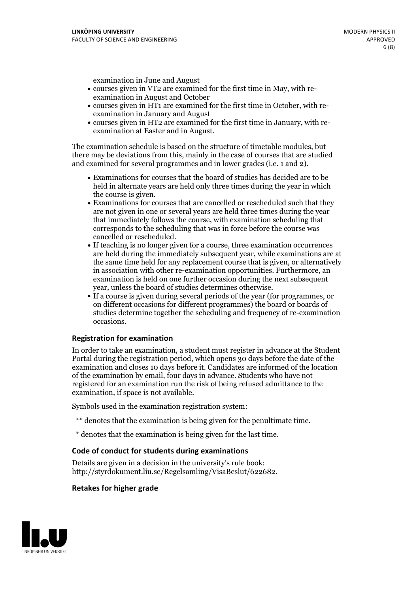examination in June and August

- courses given in VT2 are examined for the first time in May, with re-examination in August and October
- courses given in HT1 are examined for the first time in October, with re-examination in January and August
- courses given in HT2 are examined for the first time in January, with re-examination at Easter and in August.

The examination schedule is based on the structure of timetable modules, but there may be deviations from this, mainly in the case of courses that are studied and examined for several programmes and in lower grades (i.e. 1 and 2).

- Examinations for courses that the board of studies has decided are to be held in alternate years are held only three times during the year in which
- the course is given.<br>• Examinations for courses that are cancelled or rescheduled such that they are not given in one or several years are held three times during the year that immediately follows the course, with examination scheduling that corresponds to the scheduling that was in force before the course was cancelled or rescheduled.<br>• If teaching is no longer given for a course, three examination occurrences
- are held during the immediately subsequent year, while examinations are at the same time held for any replacement course that is given, or alternatively in association with other re-examination opportunities. Furthermore, an examination is held on one further occasion during the next subsequent year, unless the board of studies determines otherwise.<br>• If a course is given during several periods of the year (for programmes, or
- on different occasions for different programmes) the board orboards of studies determine together the scheduling and frequency of re-examination occasions.

#### **Registration for examination**

In order to take an examination, a student must register in advance at the Student Portal during the registration period, which opens 30 days before the date of the examination and closes 10 days before it. Candidates are informed of the location of the examination by email, four days in advance. Students who have not registered for an examination run the risk of being refused admittance to the examination, if space is not available.

Symbols used in the examination registration system:

- \*\* denotes that the examination is being given for the penultimate time.
- \* denotes that the examination is being given for the last time.

#### **Code of conduct for students during examinations**

Details are given in a decision in the university's rule book: http://styrdokument.liu.se/Regelsamling/VisaBeslut/622682.

#### **Retakes for higher grade**

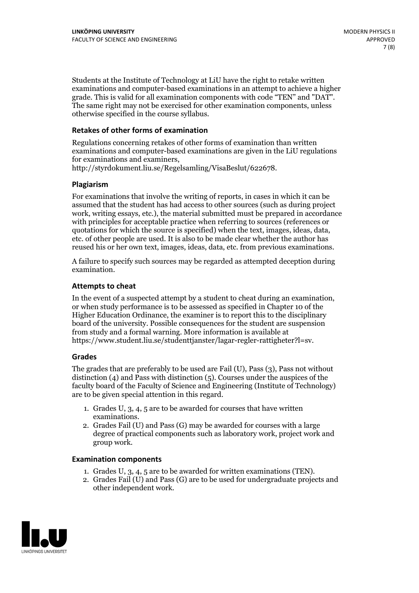Students at the Institute of Technology at LiU have the right to retake written examinations and computer-based examinations in an attempt to achieve a higher grade. This is valid for all examination components with code "TEN" and "DAT". The same right may not be exercised for other examination components, unless otherwise specified in the course syllabus.

#### **Retakes of other forms of examination**

Regulations concerning retakes of other forms of examination than written examinations and computer-based examinations are given in the LiU regulations for examinations and examiners, http://styrdokument.liu.se/Regelsamling/VisaBeslut/622678.

#### **Plagiarism**

For examinations that involve the writing of reports, in cases in which it can be assumed that the student has had access to other sources (such as during project work, writing essays, etc.), the material submitted must be prepared in accordance with principles for acceptable practice when referring to sources (references or quotations for which the source is specified) when the text, images, ideas, data, etc. of other people are used. It is also to be made clear whether the author has reused his or her own text, images, ideas, data, etc. from previous examinations.

A failure to specify such sources may be regarded as attempted deception during examination.

#### **Attempts to cheat**

In the event of <sup>a</sup> suspected attempt by <sup>a</sup> student to cheat during an examination, or when study performance is to be assessed as specified in Chapter <sup>10</sup> of the Higher Education Ordinance, the examiner is to report this to the disciplinary board of the university. Possible consequences for the student are suspension from study and a formal warning. More information is available at https://www.student.liu.se/studenttjanster/lagar-regler-rattigheter?l=sv.

#### **Grades**

The grades that are preferably to be used are Fail (U), Pass (3), Pass not without distinction  $(4)$  and Pass with distinction  $(5)$ . Courses under the auspices of the faculty board of the Faculty of Science and Engineering (Institute of Technology) are to be given special attention in this regard.

- 1. Grades U, 3, 4, 5 are to be awarded for courses that have written
- examinations. 2. Grades Fail (U) and Pass (G) may be awarded for courses with <sup>a</sup> large degree of practical components such as laboratory work, project work and group work.

#### **Examination components**

- 
- 1. Grades U, 3, 4, <sup>5</sup> are to be awarded for written examinations (TEN). 2. Grades Fail (U) and Pass (G) are to be used for undergraduate projects and other independent work.